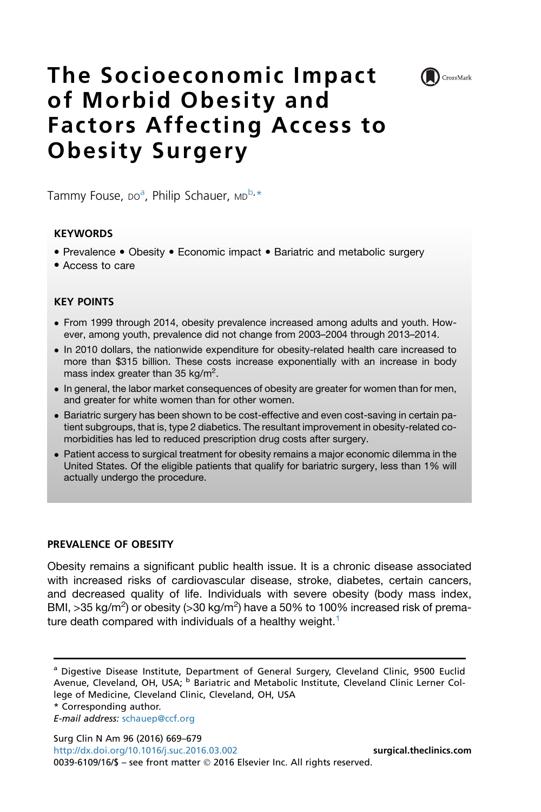

# The Socioeconomic Impact of Morbid Obesity and Factors Affecting Access to Obesity Surgery

Tammy Fouse, Do<sup>a</sup>, Philip Schauer, MD<sup>b,\*</sup>

## **KEYWORDS**

- Prevalence Obesity Economic impact Bariatric and metabolic surgery
- Access to care

## KEY POINTS

- From 1999 through 2014, obesity prevalence increased among adults and youth. However, among youth, prevalence did not change from 2003–2004 through 2013–2014.
- In 2010 dollars, the nationwide expenditure for obesity-related health care increased to more than \$315 billion. These costs increase exponentially with an increase in body mass index greater than 35 kg/m<sup>2</sup>.
- In general, the labor market consequences of obesity are greater for women than for men, and greater for white women than for other women.
- Bariatric surgery has been shown to be cost-effective and even cost-saving in certain patient subgroups, that is, type 2 diabetics. The resultant improvement in obesity-related comorbidities has led to reduced prescription drug costs after surgery.
- Patient access to surgical treatment for obesity remains a major economic dilemma in the United States. Of the eligible patients that qualify for bariatric surgery, less than 1% will actually undergo the procedure.

## PREVALENCE OF OBESITY

Obesity remains a significant public health issue. It is a chronic disease associated with increased risks of cardiovascular disease, stroke, diabetes, certain cancers, and decreased quality of life. Individuals with severe obesity (body mass index, BMI, >35 kg/m<sup>2</sup>) or obesity (>30 kg/m<sup>2</sup>) have a 50% to 100% increased risk of prema-ture death compared with individuals of a healthy weight.<sup>[1](#page-9-0)</sup>

Surg Clin N Am 96 (2016) 669–679 <http://dx.doi.org/10.1016/j.suc.2016.03.002> [surgical.theclinics.com](http://surgical.theclinics.com)

<sup>&</sup>lt;sup>a</sup> Digestive Disease Institute, Department of General Surgery, Cleveland Clinic, 9500 Euclid Avenue, Cleveland, OH, USA; <sup>b</sup> Bariatric and Metabolic Institute, Cleveland Clinic Lerner College of Medicine, Cleveland Clinic, Cleveland, OH, USA

<sup>\*</sup> Corresponding author.

E-mail address: [schauep@ccf.org](mailto:schauep@ccf.org)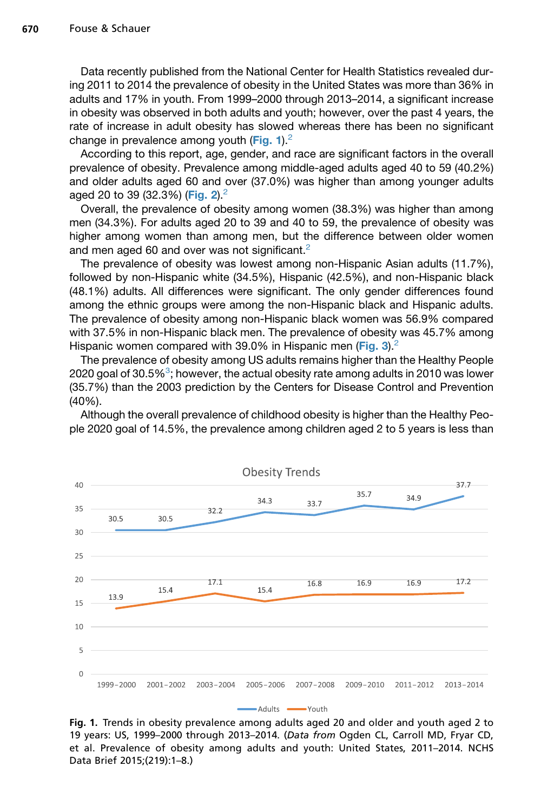Data recently published from the National Center for Health Statistics revealed during 2011 to 2014 the prevalence of obesity in the United States was more than 36% in adults and 17% in youth. From 1999–2000 through 2013–2014, a significant increase in obesity was observed in both adults and youth; however, over the past 4 years, the rate of increase in adult obesity has slowed whereas there has been no significant change in prevalence among youth (Fig. 1). $2$ 

According to this report, age, gender, and race are significant factors in the overall prevalence of obesity. Prevalence among middle-aged adults aged 40 to 59 (40.2%) and older adults aged 60 and over (37.0%) was higher than among younger adults aged 20 to 39 (32.3%) ([Fig. 2](#page-2-0)).<sup>2</sup>

Overall, the prevalence of obesity among women (38.3%) was higher than among men (34.3%). For adults aged 20 to 39 and 40 to 59, the prevalence of obesity was higher among women than among men, but the difference between older women and men aged 60 and over was not significant.<sup>[2](#page-9-0)</sup>

The prevalence of obesity was lowest among non-Hispanic Asian adults (11.7%), followed by non-Hispanic white (34.5%), Hispanic (42.5%), and non-Hispanic black (48.1%) adults. All differences were significant. The only gender differences found among the ethnic groups were among the non-Hispanic black and Hispanic adults. The prevalence of obesity among non-Hispanic black women was 56.9% compared with 37.5% in non-Hispanic black men. The prevalence of obesity was 45.7% among Hispanic women compared with 39.0% in Hispanic men ([Fig. 3](#page-2-0)).<sup>[2](#page-9-0)</sup>

The prevalence of obesity among US adults remains higher than the Healthy People 2020 goal of [3](#page-9-0)0.5 $\%$ 3; however, the actual obesity rate among adults in 2010 was lower (35.7%) than the 2003 prediction by the Centers for Disease Control and Prevention (40%).

Although the overall prevalence of childhood obesity is higher than the Healthy People 2020 goal of 14.5%, the prevalence among children aged 2 to 5 years is less than



Fig. 1. Trends in obesity prevalence among adults aged 20 and older and youth aged 2 to 19 years: US, 1999–2000 through 2013–2014. (Data from Ogden CL, Carroll MD, Fryar CD, et al. Prevalence of obesity among adults and youth: United States, 2011–2014. NCHS Data Brief 2015;(219):1–8.)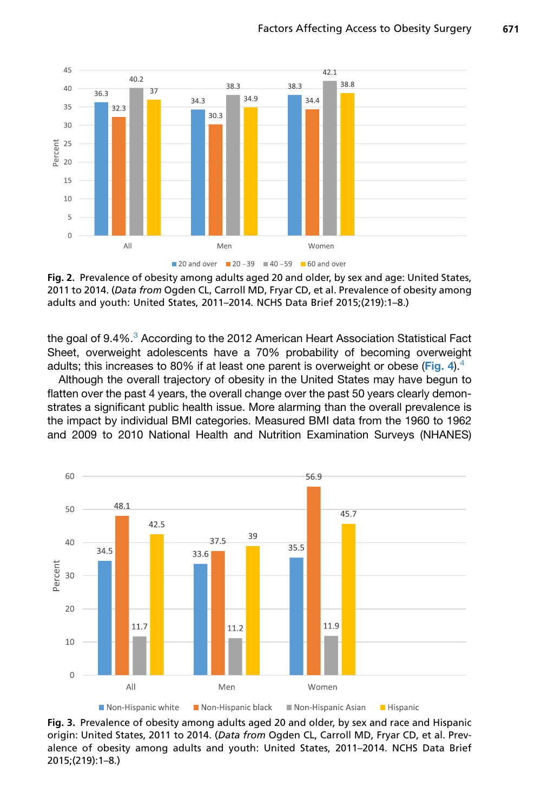<span id="page-2-0"></span>

Fig. 2. Prevalence of obesity among adults aged 20 and older, by sex and age: United States, 2011 to 2014. (Data from Ogden CL, Carroll MD, Fryar CD, et al. Prevalence of obesity among adults and youth: United States, 2011–2014. NCHS Data Brief 2015;(219):1–8.)

the goal of 9.4%.<sup>[3](#page-9-0)</sup> According to the 2012 American Heart Association Statistical Fact Sheet, overweight adolescents have a 70% probability of becoming overweight adults; this increases to 80% if at least one parent is overweight or obese ([Fig. 4](#page-3-0)).<sup>[4](#page-9-0)</sup>

Although the overall trajectory of obesity in the United States may have begun to flatten over the past 4 years, the overall change over the past 50 years clearly demonstrates a significant public health issue. More alarming than the overall prevalence is the impact by individual BMI categories. Measured BMI data from the 1960 to 1962 and 2009 to 2010 National Health and Nutrition Examination Surveys (NHANES)



Fig. 3. Prevalence of obesity among adults aged 20 and older, by sex and race and Hispanic origin: United States, 2011 to 2014. (Data from Ogden CL, Carroll MD, Fryar CD, et al. Prevalence of obesity among adults and youth: United States, 2011–2014. NCHS Data Brief 2015;(219):1–8.)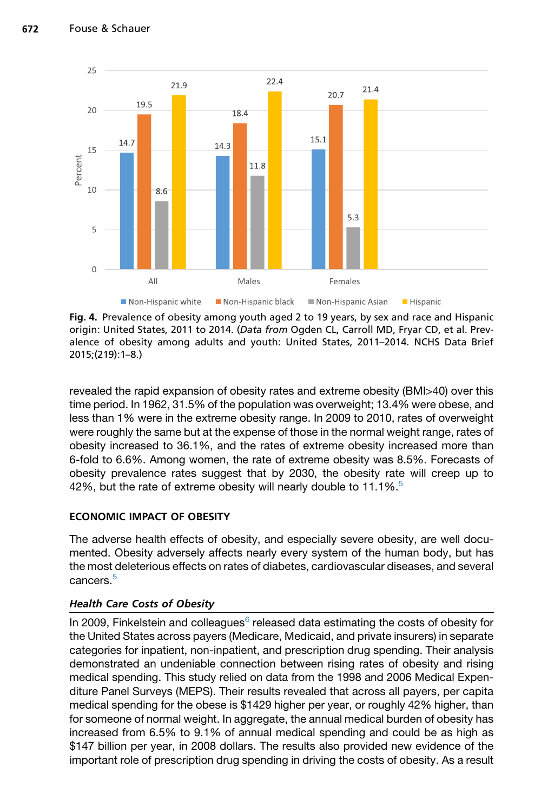<span id="page-3-0"></span>

Fig. 4. Prevalence of obesity among youth aged 2 to 19 years, by sex and race and Hispanic origin: United States, 2011 to 2014. (Data from Ogden CL, Carroll MD, Fryar CD, et al. Prevalence of obesity among adults and youth: United States, 2011–2014. NCHS Data Brief 2015;(219):1–8.)

revealed the rapid expansion of obesity rates and extreme obesity (BMI>40) over this time period. In 1962, 31.5% of the population was overweight; 13.4% were obese, and less than 1% were in the extreme obesity range. In 2009 to 2010, rates of overweight were roughly the same but at the expense of those in the normal weight range, rates of obesity increased to 36.1%, and the rates of extreme obesity increased more than 6-fold to 6.6%. Among women, the rate of extreme obesity was 8.5%. Forecasts of obesity prevalence rates suggest that by 2030, the obesity rate will creep up to 42%, but the rate of extreme obesity will nearly double to 11.1%.<sup>[5](#page-9-0)</sup>

# ECONOMIC IMPACT OF OBESITY

The adverse health effects of obesity, and especially severe obesity, are well documented. Obesity adversely affects nearly every system of the human body, but has the most deleterious effects on rates of diabetes, cardiovascular diseases, and several cancers.[5](#page-9-0)

# Health Care Costs of Obesity

In 2009, Finkelstein and colleagues $6$  released data estimating the costs of obesity for the United States across payers (Medicare, Medicaid, and private insurers) in separate categories for inpatient, non-inpatient, and prescription drug spending. Their analysis demonstrated an undeniable connection between rising rates of obesity and rising medical spending. This study relied on data from the 1998 and 2006 Medical Expenditure Panel Surveys (MEPS). Their results revealed that across all payers, per capita medical spending for the obese is \$1429 higher per year, or roughly 42% higher, than for someone of normal weight. In aggregate, the annual medical burden of obesity has increased from 6.5% to 9.1% of annual medical spending and could be as high as \$147 billion per year, in 2008 dollars. The results also provided new evidence of the important role of prescription drug spending in driving the costs of obesity. As a result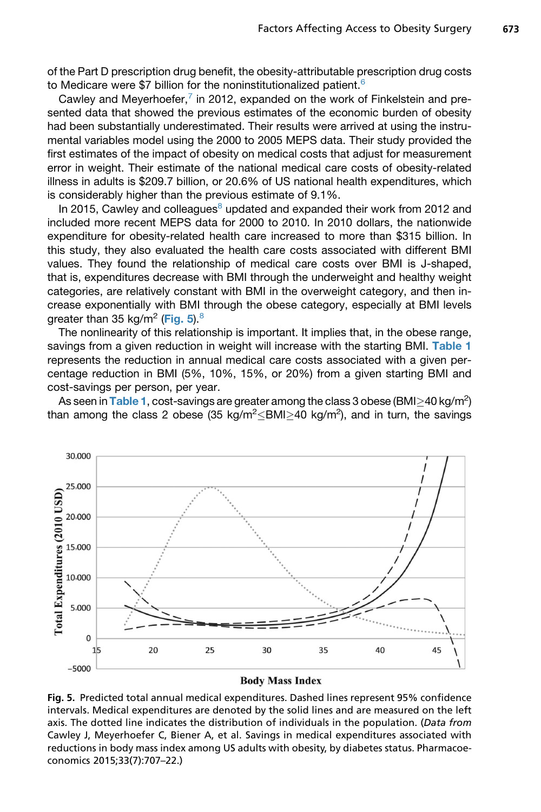of the Part D prescription drug benefit, the obesity-attributable prescription drug costs to Medicare were \$7 billion for the noninstitutionalized patient.<sup>[6](#page-9-0)</sup>

Cawley and Meyerhoefer, $^7$  $^7$  in 2012, expanded on the work of Finkelstein and presented data that showed the previous estimates of the economic burden of obesity had been substantially underestimated. Their results were arrived at using the instrumental variables model using the 2000 to 2005 MEPS data. Their study provided the first estimates of the impact of obesity on medical costs that adjust for measurement error in weight. Their estimate of the national medical care costs of obesity-related illness in adults is \$209.7 billion, or 20.6% of US national health expenditures, which is considerably higher than the previous estimate of 9.1%.

In 2015, Cawley and colleagues $8$  updated and expanded their work from 2012 and included more recent MEPS data for 2000 to 2010. In 2010 dollars, the nationwide expenditure for obesity-related health care increased to more than \$315 billion. In this study, they also evaluated the health care costs associated with different BMI values. They found the relationship of medical care costs over BMI is J-shaped, that is, expenditures decrease with BMI through the underweight and healthy weight categories, are relatively constant with BMI in the overweight category, and then increase exponentially with BMI through the obese category, especially at BMI levels greater than 35 kg/m<sup>2</sup> (Fig. 5).<sup>[8](#page-9-0)</sup>

The nonlinearity of this relationship is important. It implies that, in the obese range, savings from a given reduction in weight will increase with the starting BMI. [Table 1](#page-5-0) represents the reduction in annual medical care costs associated with a given percentage reduction in BMI (5%, 10%, 15%, or 20%) from a given starting BMI and cost-savings per person, per year.

As seen in [Table 1](#page-5-0), cost-savings are greater among the class 3 obese (BMI $\geq$ 40 kg/m<sup>2</sup>)<br>an among the class 2, obese (35 kg/m<sup>2</sup> $\lt$ BMI $>$ 40 kg/m<sup>2</sup>), and in turn, the savings than among the class 2 obese (35 kg/m<sup>2</sup> $\leq$ BMI $\geq$ 40 kg/m<sup>2</sup>), and in turn, the savings



#### **Body Mass Index**

Fig. 5. Predicted total annual medical expenditures. Dashed lines represent 95% confidence intervals. Medical expenditures are denoted by the solid lines and are measured on the left axis. The dotted line indicates the distribution of individuals in the population. (Data from Cawley J, Meyerhoefer C, Biener A, et al. Savings in medical expenditures associated with reductions in body mass index among US adults with obesity, by diabetes status. Pharmacoeconomics 2015;33(7):707–22.)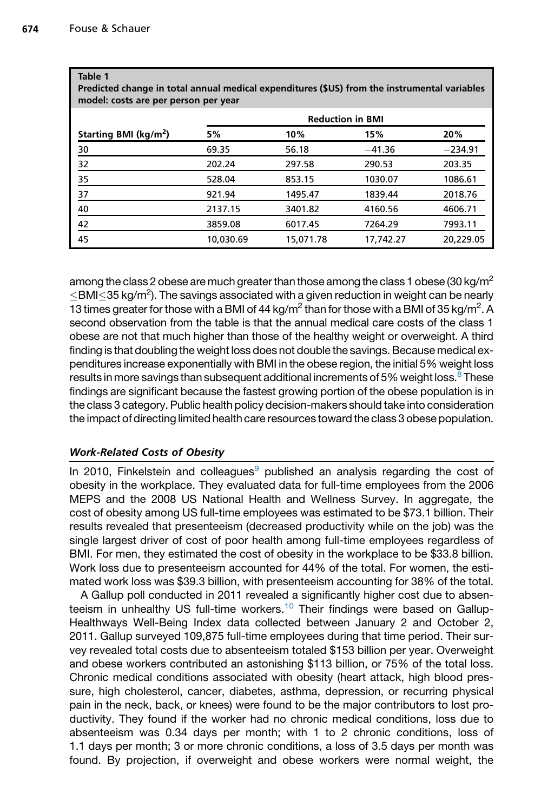<span id="page-5-0"></span>Table 1

| Predicted change in total annual medical expenditures (\$US) from the instrumental variables<br>model: costs are per person per year |                         |           |           |           |
|--------------------------------------------------------------------------------------------------------------------------------------|-------------------------|-----------|-----------|-----------|
|                                                                                                                                      | <b>Reduction in BMI</b> |           |           |           |
| Starting BMI (kg/m <sup>2</sup> )                                                                                                    | 5%                      | 10%       | 15%       | 20%       |
| 30                                                                                                                                   | 69.35                   | 56.18     | $-41.36$  | $-234.91$ |
| 32                                                                                                                                   | 202.24                  | 297.58    | 290.53    | 203.35    |
| 35                                                                                                                                   | 528.04                  | 853.15    | 1030.07   | 1086.61   |
| 37                                                                                                                                   | 921.94                  | 1495.47   | 1839.44   | 2018.76   |
| 40                                                                                                                                   | 2137.15                 | 3401.82   | 4160.56   | 4606.71   |
| 42                                                                                                                                   | 3859.08                 | 6017.45   | 7264.29   | 7993.11   |
| 45                                                                                                                                   | 10,030.69               | 15,071.78 | 17,742.27 | 20,229.05 |

among the class 2 obese are much greater than those among the class 1 obese (30 kg/m<sup>2</sup>  $\leq$ BMI $\leq$ 35 kg/m<sup>2</sup>). The savings associated with a given reduction in weight can be nearly 13 times greater for those with a BMI of 44 kg/m<sup>2</sup> than for those with a BMI of 35 kg/m<sup>2</sup>. A second observation from the table is that the annual medical care costs of the class 1 obese are not that much higher than those of the healthy weight or overweight. A third finding is that doubling the weight loss does not double the savings. Because medical expenditures increase exponentially with BMI in the obese region, the initial 5% weight loss results in more savings than subsequent additional increments of 5% weight loss. $8$  These findings are significant because the fastest growing portion of the obese population is in the class 3 category. Public health policy decision-makers should take into consideration the impact of directing limited health care resources toward the class 3 obese population.

# Work-Related Costs of Obesity

In 2010, Finkelstein and colleagues $9$  published an analysis regarding the cost of obesity in the workplace. They evaluated data for full-time employees from the 2006 MEPS and the 2008 US National Health and Wellness Survey. In aggregate, the cost of obesity among US full-time employees was estimated to be \$73.1 billion. Their results revealed that presenteeism (decreased productivity while on the job) was the single largest driver of cost of poor health among full-time employees regardless of BMI. For men, they estimated the cost of obesity in the workplace to be \$33.8 billion. Work loss due to presenteeism accounted for 44% of the total. For women, the estimated work loss was \$39.3 billion, with presenteeism accounting for 38% of the total.

A Gallup poll conducted in 2011 revealed a significantly higher cost due to absen-teeism in unhealthy US full-time workers.<sup>[10](#page-9-0)</sup> Their findings were based on Gallup-Healthways Well-Being Index data collected between January 2 and October 2, 2011. Gallup surveyed 109,875 full-time employees during that time period. Their survey revealed total costs due to absenteeism totaled \$153 billion per year. Overweight and obese workers contributed an astonishing \$113 billion, or 75% of the total loss. Chronic medical conditions associated with obesity (heart attack, high blood pressure, high cholesterol, cancer, diabetes, asthma, depression, or recurring physical pain in the neck, back, or knees) were found to be the major contributors to lost productivity. They found if the worker had no chronic medical conditions, loss due to absenteeism was 0.34 days per month; with 1 to 2 chronic conditions, loss of 1.1 days per month; 3 or more chronic conditions, a loss of 3.5 days per month was found. By projection, if overweight and obese workers were normal weight, the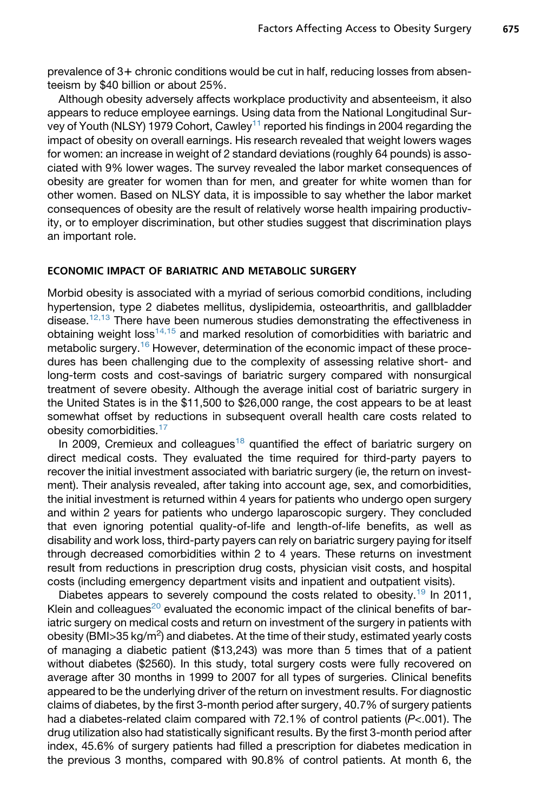prevalence of 3+ chronic conditions would be cut in half, reducing losses from absenteeism by \$40 billion or about 25%.

Although obesity adversely affects workplace productivity and absenteeism, it also appears to reduce employee earnings. Using data from the National Longitudinal Sur-vey of Youth (NLSY) 1979 Cohort, Cawley<sup>[11](#page-9-0)</sup> reported his findings in 2004 regarding the impact of obesity on overall earnings. His research revealed that weight lowers wages for women: an increase in weight of 2 standard deviations (roughly 64 pounds) is associated with 9% lower wages. The survey revealed the labor market consequences of obesity are greater for women than for men, and greater for white women than for other women. Based on NLSY data, it is impossible to say whether the labor market consequences of obesity are the result of relatively worse health impairing productivity, or to employer discrimination, but other studies suggest that discrimination plays an important role.

## ECONOMIC IMPACT OF BARIATRIC AND METABOLIC SURGERY

Morbid obesity is associated with a myriad of serious comorbid conditions, including hypertension, type 2 diabetes mellitus, dyslipidemia, osteoarthritis, and gallbladder disease.<sup>[12,13](#page-9-0)</sup> There have been numerous studies demonstrating the effectiveness in obtaining weight loss<sup>[14,15](#page-10-0)</sup> and marked resolution of comorbidities with bariatric and metabolic surgery.<sup>[16](#page-10-0)</sup> However, determination of the economic impact of these procedures has been challenging due to the complexity of assessing relative short- and long-term costs and cost-savings of bariatric surgery compared with nonsurgical treatment of severe obesity. Although the average initial cost of bariatric surgery in the United States is in the \$11,500 to \$26,000 range, the cost appears to be at least somewhat offset by reductions in subsequent overall health care costs related to obesity comorbidities.<sup>[17](#page-10-0)</sup>

In 2009, Cremieux and colleagues<sup>[18](#page-10-0)</sup> quantified the effect of bariatric surgery on direct medical costs. They evaluated the time required for third-party payers to recover the initial investment associated with bariatric surgery (ie, the return on investment). Their analysis revealed, after taking into account age, sex, and comorbidities, the initial investment is returned within 4 years for patients who undergo open surgery and within 2 years for patients who undergo laparoscopic surgery. They concluded that even ignoring potential quality-of-life and length-of-life benefits, as well as disability and work loss, third-party payers can rely on bariatric surgery paying for itself through decreased comorbidities within 2 to 4 years. These returns on investment result from reductions in prescription drug costs, physician visit costs, and hospital costs (including emergency department visits and inpatient and outpatient visits).

Diabetes appears to severely compound the costs related to obesity.<sup>19</sup> In 2011, Klein and colleagues<sup>[20](#page-10-0)</sup> evaluated the economic impact of the clinical benefits of bariatric surgery on medical costs and return on investment of the surgery in patients with obesity (BMI>35 kg/m<sup>2</sup>) and diabetes. At the time of their study, estimated yearly costs of managing a diabetic patient (\$13,243) was more than 5 times that of a patient without diabetes (\$2560). In this study, total surgery costs were fully recovered on average after 30 months in 1999 to 2007 for all types of surgeries. Clinical benefits appeared to be the underlying driver of the return on investment results. For diagnostic claims of diabetes, by the first 3-month period after surgery, 40.7% of surgery patients had a diabetes-related claim compared with 72.1% of control patients (*P*<.001). The drug utilization also had statistically significant results. By the first 3-month period after index, 45.6% of surgery patients had filled a prescription for diabetes medication in the previous 3 months, compared with 90.8% of control patients. At month 6, the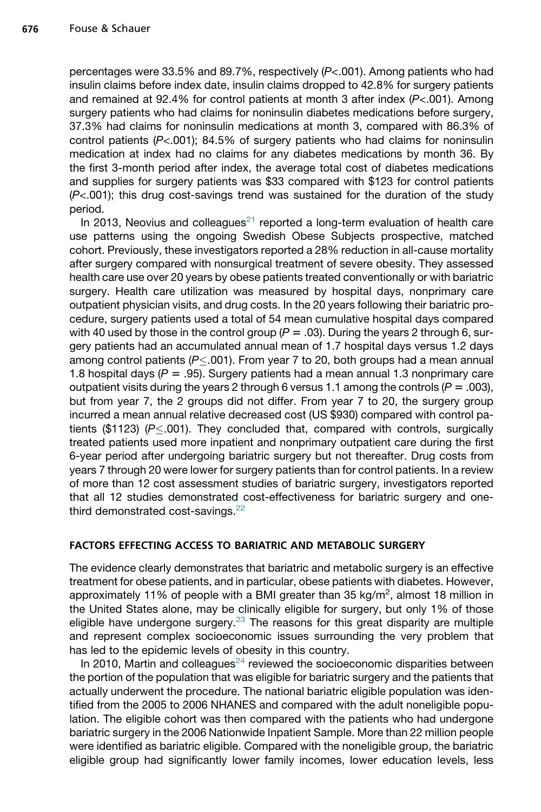percentages were 33.5% and 89.7%, respectively (*P*<.001). Among patients who had insulin claims before index date, insulin claims dropped to 42.8% for surgery patients and remained at 92.4% for control patients at month 3 after index (*P*<.001). Among surgery patients who had claims for noninsulin diabetes medications before surgery, 37.3% had claims for noninsulin medications at month 3, compared with 86.3% of control patients (*P*<.001); 84.5% of surgery patients who had claims for noninsulin medication at index had no claims for any diabetes medications by month 36. By the first 3-month period after index, the average total cost of diabetes medications and supplies for surgery patients was \$33 compared with \$123 for control patients (*P*<.001); this drug cost-savings trend was sustained for the duration of the study period.

In 2013, Neovius and colleagues $^{21}$  $^{21}$  $^{21}$  reported a long-term evaluation of health care use patterns using the ongoing Swedish Obese Subjects prospective, matched cohort. Previously, these investigators reported a 28% reduction in all-cause mortality after surgery compared with nonsurgical treatment of severe obesity. They assessed health care use over 20 years by obese patients treated conventionally or with bariatric surgery. Health care utilization was measured by hospital days, nonprimary care outpatient physician visits, and drug costs. In the 20 years following their bariatric procedure, surgery patients used a total of 54 mean cumulative hospital days compared with 40 used by those in the control group  $(P = .03)$ . During the years 2 through 6, surgery patients had an accumulated annual mean of 1.7 hospital days versus 1.2 days among control patients (P 
subsection 10 From year 7 to 20, both groups had a mean annual 1.8 hospital days  $(P = .95)$ . Surgery patients had a mean annual 1.3 nonprimary care outpatient visits during the years 2 through 6 versus 1.1 among the controls  $(P = .003)$ , but from year 7, the 2 groups did not differ. From year 7 to 20, the surgery group incurred a mean annual relative decreased cost (US \$930) compared with control patients (\$1123)  $(P \le 0.001)$ . They concluded that, compared with controls, surgically treated patients used more inpatient and nonprimary outpatient care during the first 6-year period after undergoing bariatric surgery but not thereafter. Drug costs from years 7 through 20 were lower for surgery patients than for control patients. In a review of more than 12 cost assessment studies of bariatric surgery, investigators reported that all 12 studies demonstrated cost-effectiveness for bariatric surgery and one-third demonstrated cost-savings.<sup>[22](#page-10-0)</sup>

## FACTORS EFFECTING ACCESS TO BARIATRIC AND METABOLIC SURGERY

The evidence clearly demonstrates that bariatric and metabolic surgery is an effective treatment for obese patients, and in particular, obese patients with diabetes. However, approximately 11% of people with a BMI greater than 35 kg/m<sup>2</sup>, almost 18 million in the United States alone, may be clinically eligible for surgery, but only 1% of those eligible have undergone surgery.<sup>[23](#page-10-0)</sup> The reasons for this great disparity are multiple and represent complex socioeconomic issues surrounding the very problem that has led to the epidemic levels of obesity in this country.

In 2010, Martin and colleagues $^{24}$  $^{24}$  $^{24}$  reviewed the socioeconomic disparities between the portion of the population that was eligible for bariatric surgery and the patients that actually underwent the procedure. The national bariatric eligible population was identified from the 2005 to 2006 NHANES and compared with the adult noneligible population. The eligible cohort was then compared with the patients who had undergone bariatric surgery in the 2006 Nationwide Inpatient Sample. More than 22 million people were identified as bariatric eligible. Compared with the noneligible group, the bariatric eligible group had significantly lower family incomes, lower education levels, less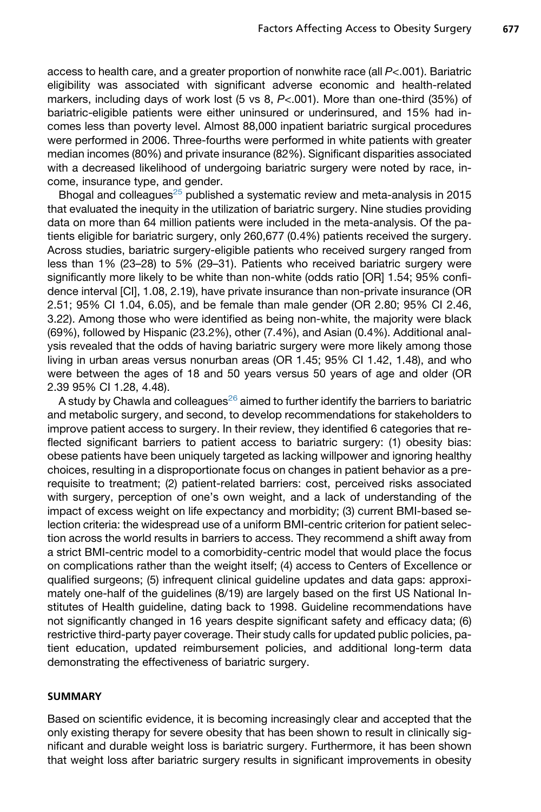access to health care, and a greater proportion of nonwhite race (all *P*<.001). Bariatric eligibility was associated with significant adverse economic and health-related markers, including days of work lost (5 vs 8, *P*<.001). More than one-third (35%) of bariatric-eligible patients were either uninsured or underinsured, and 15% had incomes less than poverty level. Almost 88,000 inpatient bariatric surgical procedures were performed in 2006. Three-fourths were performed in white patients with greater median incomes (80%) and private insurance (82%). Significant disparities associated with a decreased likelihood of undergoing bariatric surgery were noted by race, income, insurance type, and gender.

Bhogal and colleagues<sup>[25](#page-10-0)</sup> published a systematic review and meta-analysis in 2015 that evaluated the inequity in the utilization of bariatric surgery. Nine studies providing data on more than 64 million patients were included in the meta-analysis. Of the patients eligible for bariatric surgery, only 260,677 (0.4%) patients received the surgery. Across studies, bariatric surgery-eligible patients who received surgery ranged from less than 1% (23–28) to 5% (29–31). Patients who received bariatric surgery were significantly more likely to be white than non-white (odds ratio [OR] 1.54; 95% confidence interval [CI], 1.08, 2.19), have private insurance than non-private insurance (OR 2.51; 95% CI 1.04, 6.05), and be female than male gender (OR 2.80; 95% CI 2.46, 3.22). Among those who were identified as being non-white, the majority were black (69%), followed by Hispanic (23.2%), other (7.4%), and Asian (0.4%). Additional analysis revealed that the odds of having bariatric surgery were more likely among those living in urban areas versus nonurban areas (OR 1.45; 95% CI 1.42, 1.48), and who were between the ages of 18 and 50 years versus 50 years of age and older (OR 2.39 95% CI 1.28, 4.48).

A study by Chawla and colleagues $^{26}$  $^{26}$  $^{26}$  aimed to further identify the barriers to bariatric and metabolic surgery, and second, to develop recommendations for stakeholders to improve patient access to surgery. In their review, they identified 6 categories that reflected significant barriers to patient access to bariatric surgery: (1) obesity bias: obese patients have been uniquely targeted as lacking willpower and ignoring healthy choices, resulting in a disproportionate focus on changes in patient behavior as a prerequisite to treatment; (2) patient-related barriers: cost, perceived risks associated with surgery, perception of one's own weight, and a lack of understanding of the impact of excess weight on life expectancy and morbidity; (3) current BMI-based selection criteria: the widespread use of a uniform BMI-centric criterion for patient selection across the world results in barriers to access. They recommend a shift away from a strict BMI-centric model to a comorbidity-centric model that would place the focus on complications rather than the weight itself; (4) access to Centers of Excellence or qualified surgeons; (5) infrequent clinical guideline updates and data gaps: approximately one-half of the guidelines (8/19) are largely based on the first US National Institutes of Health guideline, dating back to 1998. Guideline recommendations have not significantly changed in 16 years despite significant safety and efficacy data; (6) restrictive third-party payer coverage. Their study calls for updated public policies, patient education, updated reimbursement policies, and additional long-term data demonstrating the effectiveness of bariatric surgery.

## SUMMARY

Based on scientific evidence, it is becoming increasingly clear and accepted that the only existing therapy for severe obesity that has been shown to result in clinically significant and durable weight loss is bariatric surgery. Furthermore, it has been shown that weight loss after bariatric surgery results in significant improvements in obesity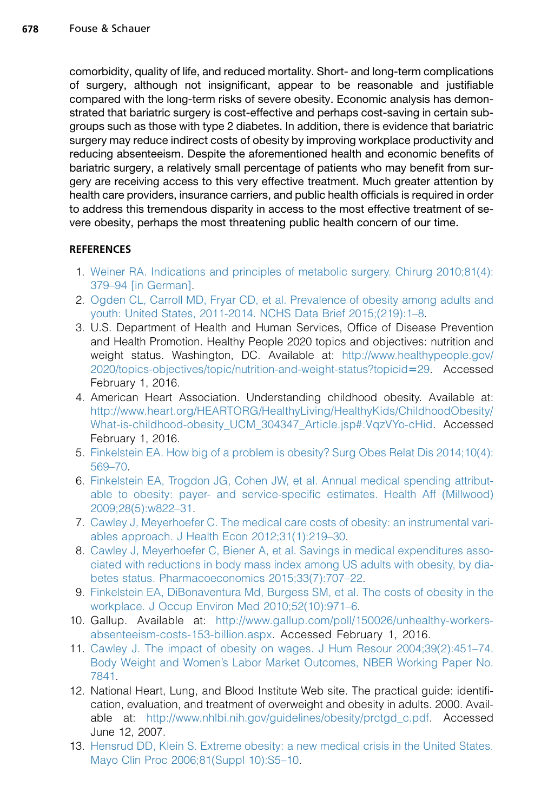<span id="page-9-0"></span>comorbidity, quality of life, and reduced mortality. Short- and long-term complications of surgery, although not insignificant, appear to be reasonable and justifiable compared with the long-term risks of severe obesity. Economic analysis has demonstrated that bariatric surgery is cost-effective and perhaps cost-saving in certain subgroups such as those with type 2 diabetes. In addition, there is evidence that bariatric surgery may reduce indirect costs of obesity by improving workplace productivity and reducing absenteeism. Despite the aforementioned health and economic benefits of bariatric surgery, a relatively small percentage of patients who may benefit from surgery are receiving access to this very effective treatment. Much greater attention by health care providers, insurance carriers, and public health officials is required in order to address this tremendous disparity in access to the most effective treatment of severe obesity, perhaps the most threatening public health concern of our time.

## **REFERENCES**

- 1. [Weiner RA. Indications and principles of metabolic surgery. Chirurg 2010;81\(4\):](http://refhub.elsevier.com/S0039-6109(16)30002-0/sref1) [379–94 \[in German\].](http://refhub.elsevier.com/S0039-6109(16)30002-0/sref1)
- 2. [Ogden CL, Carroll MD, Fryar CD, et al. Prevalence of obesity among adults and](http://refhub.elsevier.com/S0039-6109(16)30002-0/sref2) [youth: United States, 2011-2014. NCHS Data Brief 2015;\(219\):1–8.](http://refhub.elsevier.com/S0039-6109(16)30002-0/sref2)
- 3. U.S. Department of Health and Human Services, Office of Disease Prevention and Health Promotion. Healthy People 2020 topics and objectives: nutrition and weight status. Washington, DC. Available at: [http://www.healthypeople.gov/](http://www.healthypeople.gov/2020/topics-objectives/topic/nutrition-and-weight-status?topicid=29) [2020/topics-objectives/topic/nutrition-and-weight-status?topicid](http://www.healthypeople.gov/2020/topics-objectives/topic/nutrition-and-weight-status?topicid=29)=29. Accessed February 1, 2016.
- 4. American Heart Association. Understanding childhood obesity. Available at: [http://www.heart.org/HEARTORG/HealthyLiving/HealthyKids/ChildhoodObesity/](http://www.heart.org/HEARTORG/HealthyLiving/HealthyKids/ChildhoodObesity/What-is-childhood-obesity_UCM_304347_Article.jsp#.VqzVYo-cHid) [What-is-childhood-obesity\\_UCM\\_304347\\_Article.jsp#.VqzVYo-cHid.](http://www.heart.org/HEARTORG/HealthyLiving/HealthyKids/ChildhoodObesity/What-is-childhood-obesity_UCM_304347_Article.jsp#.VqzVYo-cHid) Accessed February 1, 2016.
- 5. [Finkelstein EA. How big of a problem is obesity? Surg Obes Relat Dis 2014;10\(4\):](http://refhub.elsevier.com/S0039-6109(16)30002-0/sref5) [569–70.](http://refhub.elsevier.com/S0039-6109(16)30002-0/sref5)
- 6. [Finkelstein EA, Trogdon JG, Cohen JW, et al. Annual medical spending attribut](http://refhub.elsevier.com/S0039-6109(16)30002-0/sref6)[able to obesity: payer- and service-specific estimates. Health Aff \(Millwood\)](http://refhub.elsevier.com/S0039-6109(16)30002-0/sref6) [2009;28\(5\):w822–31.](http://refhub.elsevier.com/S0039-6109(16)30002-0/sref6)
- 7. [Cawley J, Meyerhoefer C. The medical care costs of obesity: an instrumental vari](http://refhub.elsevier.com/S0039-6109(16)30002-0/sref7)[ables approach. J Health Econ 2012;31\(1\):219–30.](http://refhub.elsevier.com/S0039-6109(16)30002-0/sref7)
- 8. [Cawley J, Meyerhoefer C, Biener A, et al. Savings in medical expenditures asso](http://refhub.elsevier.com/S0039-6109(16)30002-0/sref8)[ciated with reductions in body mass index among US adults with obesity, by dia](http://refhub.elsevier.com/S0039-6109(16)30002-0/sref8)[betes status. Pharmacoeconomics 2015;33\(7\):707–22](http://refhub.elsevier.com/S0039-6109(16)30002-0/sref8).
- 9. [Finkelstein EA, DiBonaventura Md, Burgess SM, et al. The costs of obesity in the](http://refhub.elsevier.com/S0039-6109(16)30002-0/sref9) [workplace. J Occup Environ Med 2010;52\(10\):971–6](http://refhub.elsevier.com/S0039-6109(16)30002-0/sref9).
- 10. Gallup. Available at: [http://www.gallup.com/poll/150026/unhealthy-workers](http://www.gallup.com/poll/150026/unhealthy-workers-absenteeism-costs-153-billion.aspx)[absenteeism-costs-153-billion.aspx](http://www.gallup.com/poll/150026/unhealthy-workers-absenteeism-costs-153-billion.aspx). Accessed February 1, 2016.
- 11. [Cawley J. The impact of obesity on wages. J Hum Resour 2004;39\(2\):451–74.](http://refhub.elsevier.com/S0039-6109(16)30002-0/sref11) [Body Weight and Women's Labor Market Outcomes, NBER Working Paper No.](http://refhub.elsevier.com/S0039-6109(16)30002-0/sref11) [7841](http://refhub.elsevier.com/S0039-6109(16)30002-0/sref11).
- 12. National Heart, Lung, and Blood Institute Web site. The practical guide: identification, evaluation, and treatment of overweight and obesity in adults. 2000. Available at: [http://www.nhlbi.nih.gov/guidelines/obesity/prctgd\\_c.pdf.](http://www.nhlbi.nih.gov/guidelines/obesity/prctgd_c.pdf) Accessed June 12, 2007.
- 13. [Hensrud DD, Klein S. Extreme obesity: a new medical crisis in the United States.](http://refhub.elsevier.com/S0039-6109(16)30002-0/sref13) [Mayo Clin Proc 2006;81\(Suppl 10\):S5–10.](http://refhub.elsevier.com/S0039-6109(16)30002-0/sref13)